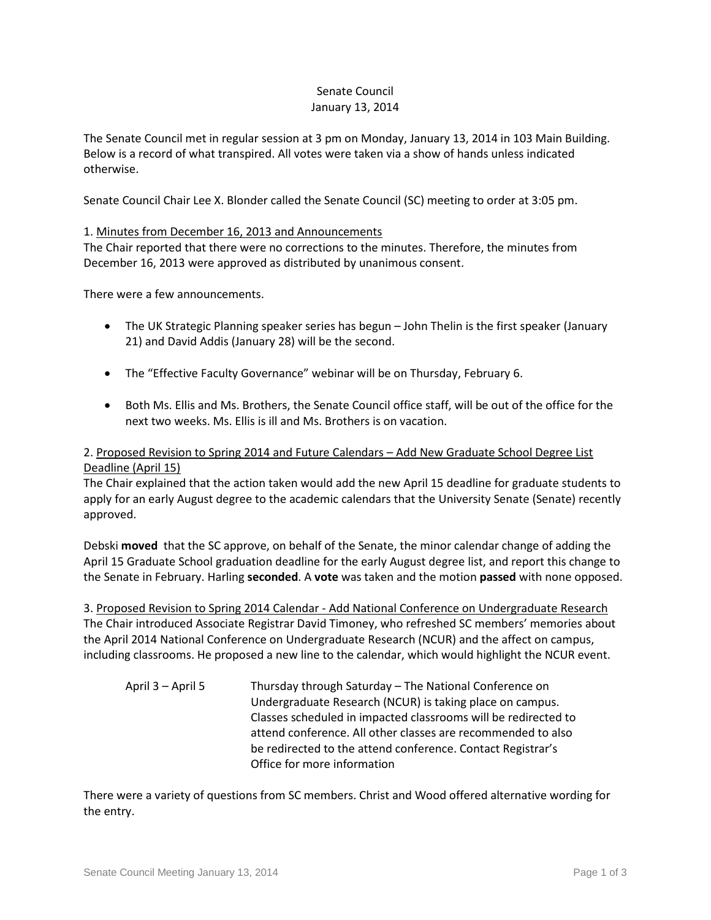#### Senate Council January 13, 2014

The Senate Council met in regular session at 3 pm on Monday, January 13, 2014 in 103 Main Building. Below is a record of what transpired. All votes were taken via a show of hands unless indicated otherwise.

Senate Council Chair Lee X. Blonder called the Senate Council (SC) meeting to order at 3:05 pm.

#### 1. Minutes from December 16, 2013 and Announcements

The Chair reported that there were no corrections to the minutes. Therefore, the minutes from December 16, 2013 were approved as distributed by unanimous consent.

There were a few announcements.

- The UK Strategic Planning speaker series has begun John Thelin is the first speaker (January 21) and David Addis (January 28) will be the second.
- The "Effective Faculty Governance" webinar will be on Thursday, February 6.
- Both Ms. Ellis and Ms. Brothers, the Senate Council office staff, will be out of the office for the next two weeks. Ms. Ellis is ill and Ms. Brothers is on vacation.

### 2. Proposed Revision to Spring 2014 and Future Calendars – Add New Graduate School Degree List Deadline (April 15)

The Chair explained that the action taken would add the new April 15 deadline for graduate students to apply for an early August degree to the academic calendars that the University Senate (Senate) recently approved.

Debski **moved** that the SC approve, on behalf of the Senate, the minor calendar change of adding the April 15 Graduate School graduation deadline for the early August degree list, and report this change to the Senate in February. Harling **seconded**. A **vote** was taken and the motion **passed** with none opposed.

3. Proposed Revision to Spring 2014 Calendar - Add National Conference on Undergraduate Research The Chair introduced Associate Registrar David Timoney, who refreshed SC members' memories about the April 2014 National Conference on Undergraduate Research (NCUR) and the affect on campus, including classrooms. He proposed a new line to the calendar, which would highlight the NCUR event.

| April 3 – April 5 | Thursday through Saturday - The National Conference on         |
|-------------------|----------------------------------------------------------------|
|                   | Undergraduate Research (NCUR) is taking place on campus.       |
|                   | Classes scheduled in impacted classrooms will be redirected to |
|                   | attend conference. All other classes are recommended to also   |
|                   | be redirected to the attend conference. Contact Registrar's    |
|                   | Office for more information                                    |

There were a variety of questions from SC members. Christ and Wood offered alternative wording for the entry.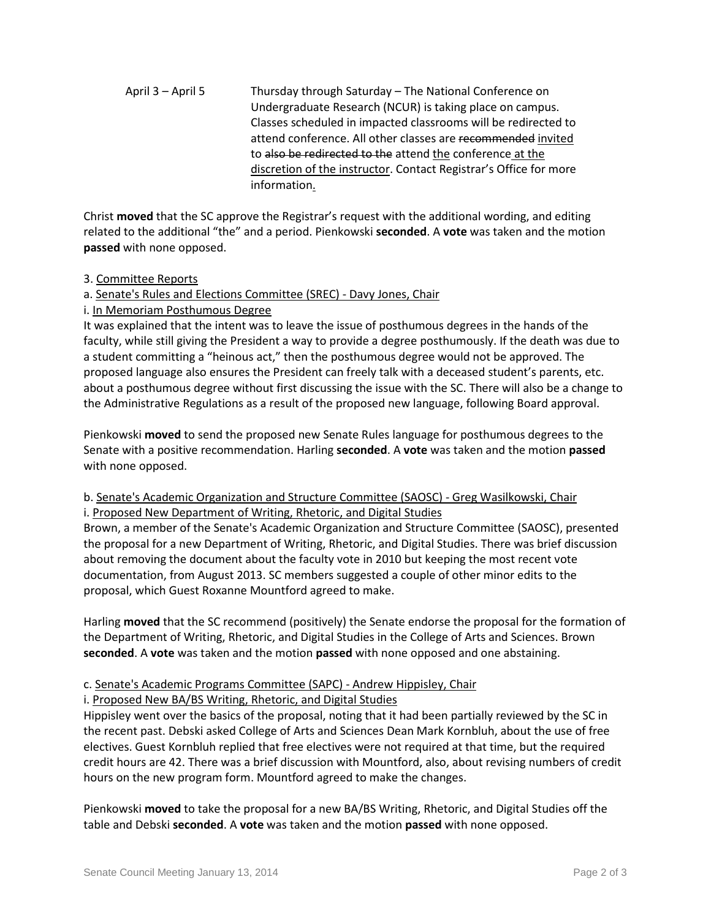April 3 – April 5 Thursday through Saturday – The National Conference on Undergraduate Research (NCUR) is taking place on campus. Classes scheduled in impacted classrooms will be redirected to attend conference. All other classes are recommended invited to also be redirected to the attend the conference at the discretion of the instructor. Contact Registrar's Office for more information.

Christ **moved** that the SC approve the Registrar's request with the additional wording, and editing related to the additional "the" and a period. Pienkowski **seconded**. A **vote** was taken and the motion **passed** with none opposed.

### 3. Committee Reports

# a. Senate's Rules and Elections Committee (SREC) - Davy Jones, Chair

i. In Memoriam Posthumous Degree

It was explained that the intent was to leave the issue of posthumous degrees in the hands of the faculty, while still giving the President a way to provide a degree posthumously. If the death was due to a student committing a "heinous act," then the posthumous degree would not be approved. The proposed language also ensures the President can freely talk with a deceased student's parents, etc. about a posthumous degree without first discussing the issue with the SC. There will also be a change to the Administrative Regulations as a result of the proposed new language, following Board approval.

Pienkowski **moved** to send the proposed new Senate Rules language for posthumous degrees to the Senate with a positive recommendation. Harling **seconded**. A **vote** was taken and the motion **passed** with none opposed.

# b. Senate's Academic Organization and Structure Committee (SAOSC) - Greg Wasilkowski, Chair i. Proposed New Department of Writing, Rhetoric, and Digital Studies

Brown, a member of the Senate's Academic Organization and Structure Committee (SAOSC), presented the proposal for a new Department of Writing, Rhetoric, and Digital Studies. There was brief discussion about removing the document about the faculty vote in 2010 but keeping the most recent vote documentation, from August 2013. SC members suggested a couple of other minor edits to the proposal, which Guest Roxanne Mountford agreed to make.

Harling **moved** that the SC recommend (positively) the Senate endorse the proposal for the formation of the Department of Writing, Rhetoric, and Digital Studies in the College of Arts and Sciences. Brown **seconded**. A **vote** was taken and the motion **passed** with none opposed and one abstaining.

# c. Senate's Academic Programs Committee (SAPC) - Andrew Hippisley, Chair

# i. Proposed New BA/BS Writing, Rhetoric, and Digital Studies

Hippisley went over the basics of the proposal, noting that it had been partially reviewed by the SC in the recent past. Debski asked College of Arts and Sciences Dean Mark Kornbluh, about the use of free electives. Guest Kornbluh replied that free electives were not required at that time, but the required credit hours are 42. There was a brief discussion with Mountford, also, about revising numbers of credit hours on the new program form. Mountford agreed to make the changes.

Pienkowski **moved** to take the proposal for a new BA/BS Writing, Rhetoric, and Digital Studies off the table and Debski **seconded**. A **vote** was taken and the motion **passed** with none opposed.